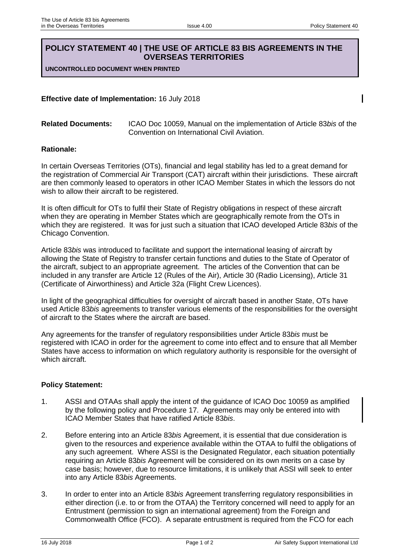## **POLICY STATEMENT 40 | THE USE OF ARTICLE 83 BIS AGREEMENTS IN THE OVERSEAS TERRITORIES**

**UNCONTROLLED DOCUMENT WHEN PRINTED**

**Effective date of Implementation:** 16 July 2018

**Related Documents:** ICAO Doc 10059, Manual on the implementation of Article 83*bis* of the Convention on International Civil Aviation.

## **Rationale:**

In certain Overseas Territories (OTs), financial and legal stability has led to a great demand for the registration of Commercial Air Transport (CAT) aircraft within their jurisdictions. These aircraft are then commonly leased to operators in other ICAO Member States in which the lessors do not wish to allow their aircraft to be registered.

It is often difficult for OTs to fulfil their State of Registry obligations in respect of these aircraft when they are operating in Member States which are geographically remote from the OTs in which they are registered. It was for just such a situation that ICAO developed Article 83*bis* of the Chicago Convention.

Article 83*bis* was introduced to facilitate and support the international leasing of aircraft by allowing the State of Registry to transfer certain functions and duties to the State of Operator of the aircraft, subject to an appropriate agreement. The articles of the Convention that can be included in any transfer are Article 12 (Rules of the Air), Article 30 (Radio Licensing), Article 31 (Certificate of Airworthiness) and Article 32a (Flight Crew Licences).

In light of the geographical difficulties for oversight of aircraft based in another State, OTs have used Article 83*bis* agreements to transfer various elements of the responsibilities for the oversight of aircraft to the States where the aircraft are based.

Any agreements for the transfer of regulatory responsibilities under Article 83*bis* must be registered with ICAO in order for the agreement to come into effect and to ensure that all Member States have access to information on which regulatory authority is responsible for the oversight of which aircraft.

## **Policy Statement:**

- 1. ASSI and OTAAs shall apply the intent of the guidance of ICAO Doc 10059 as amplified by the following policy and Procedure 17. Agreements may only be entered into with ICAO Member States that have ratified Article 83*bis*.
- 2. Before entering into an Article 83*bis* Agreement, it is essential that due consideration is given to the resources and experience available within the OTAA to fulfil the obligations of any such agreement. Where ASSI is the Designated Regulator, each situation potentially requiring an Article 83*bis* Agreement will be considered on its own merits on a case by case basis; however, due to resource limitations, it is unlikely that ASSI will seek to enter into any Article 83*bis* Agreements.
- 3. In order to enter into an Article 83*bis* Agreement transferring regulatory responsibilities in either direction (i.e. to or from the OTAA) the Territory concerned will need to apply for an Entrustment (permission to sign an international agreement) from the Foreign and Commonwealth Office (FCO). A separate entrustment is required from the FCO for each